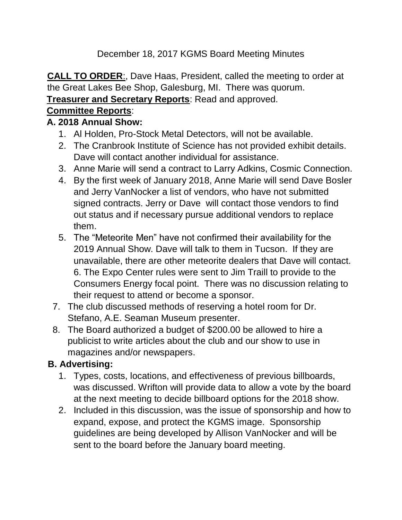December 18, 2017 KGMS Board Meeting Minutes

**CALL TO ORDER**:, Dave Haas, President, called the meeting to order at the Great Lakes Bee Shop, Galesburg, MI. There was quorum.

#### **Treasurer and Secretary Reports**: Read and approved.

#### **Committee Reports**:

#### **A. 2018 Annual Show:**

- 1. Al Holden, Pro-Stock Metal Detectors, will not be available.
- 2. The Cranbrook Institute of Science has not provided exhibit details. Dave will contact another individual for assistance.
- 3. Anne Marie will send a contract to Larry Adkins, Cosmic Connection.
- 4. By the first week of January 2018, Anne Marie will send Dave Bosler and Jerry VanNocker a list of vendors, who have not submitted signed contracts. Jerry or Dave will contact those vendors to find out status and if necessary pursue additional vendors to replace them.
- 5. The "Meteorite Men" have not confirmed their availability for the 2019 Annual Show. Dave will talk to them in Tucson. If they are unavailable, there are other meteorite dealers that Dave will contact. 6. The Expo Center rules were sent to Jim Traill to provide to the Consumers Energy focal point. There was no discussion relating to their request to attend or become a sponsor.
- 7. The club discussed methods of reserving a hotel room for Dr. Stefano, A.E. Seaman Museum presenter.
- 8. The Board authorized a budget of \$200.00 be allowed to hire a publicist to write articles about the club and our show to use in magazines and/or newspapers.

## **B. Advertising:**

- 1. Types, costs, locations, and effectiveness of previous billboards, was discussed. Wrifton will provide data to allow a vote by the board at the next meeting to decide billboard options for the 2018 show.
- 2. Included in this discussion, was the issue of sponsorship and how to expand, expose, and protect the KGMS image. Sponsorship guidelines are being developed by Allison VanNocker and will be sent to the board before the January board meeting.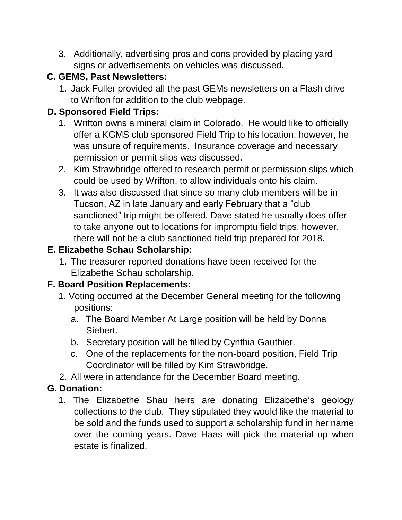3. Additionally, advertising pros and cons provided by placing yard signs or advertisements on vehicles was discussed.

## **C. GEMS, Past Newsletters:**

1. Jack Fuller provided all the past GEMs newsletters on a Flash drive to Wrifton for addition to the club webpage.

# **D. Sponsored Field Trips:**

- 1. Wrifton owns a mineral claim in Colorado. He would like to officially offer a KGMS club sponsored Field Trip to his location, however, he was unsure of requirements. Insurance coverage and necessary permission or permit slips was discussed.
- 2. Kim Strawbridge offered to research permit or permission slips which could be used by Wrifton, to allow individuals onto his claim.
- 3. It was also discussed that since so many club members will be in Tucson, AZ in late January and early February that a "club sanctioned" trip might be offered. Dave stated he usually does offer to take anyone out to locations for impromptu field trips, however, there will not be a club sanctioned field trip prepared for 2018.

# **E. Elizabethe Schau Scholarship:**

1. The treasurer reported donations have been received for the Elizabethe Schau scholarship.

# **F. Board Position Replacements:**

- 1. Voting occurred at the December General meeting for the following positions:
	- a. The Board Member At Large position will be held by Donna Siebert.
	- b. Secretary position will be filled by Cynthia Gauthier.
	- c. One of the replacements for the non-board position, Field Trip Coordinator will be filled by Kim Strawbridge.
- 2. All were in attendance for the December Board meeting.

# **G. Donation:**

1. The Elizabethe Shau heirs are donating Elizabethe's geology collections to the club. They stipulated they would like the material to be sold and the funds used to support a scholarship fund in her name over the coming years. Dave Haas will pick the material up when estate is finalized.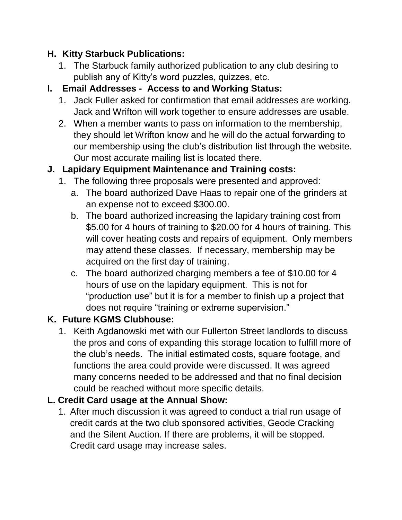## **H. Kitty Starbuck Publications:**

1. The Starbuck family authorized publication to any club desiring to publish any of Kitty's word puzzles, quizzes, etc.

## **I. Email Addresses - Access to and Working Status:**

- 1. Jack Fuller asked for confirmation that email addresses are working. Jack and Wrifton will work together to ensure addresses are usable.
- 2. When a member wants to pass on information to the membership, they should let Wrifton know and he will do the actual forwarding to our membership using the club's distribution list through the website. Our most accurate mailing list is located there.

# **J. Lapidary Equipment Maintenance and Training costs:**

- 1. The following three proposals were presented and approved:
	- a. The board authorized Dave Haas to repair one of the grinders at an expense not to exceed \$300.00.
	- b. The board authorized increasing the lapidary training cost from \$5.00 for 4 hours of training to \$20.00 for 4 hours of training. This will cover heating costs and repairs of equipment. Only members may attend these classes. If necessary, membership may be acquired on the first day of training.
	- c. The board authorized charging members a fee of \$10.00 for 4 hours of use on the lapidary equipment. This is not for "production use" but it is for a member to finish up a project that does not require "training or extreme supervision."

# **K. Future KGMS Clubhouse:**

1. Keith Agdanowski met with our Fullerton Street landlords to discuss the pros and cons of expanding this storage location to fulfill more of the club's needs. The initial estimated costs, square footage, and functions the area could provide were discussed. It was agreed many concerns needed to be addressed and that no final decision could be reached without more specific details.

## **L. Credit Card usage at the Annual Show:**

1. After much discussion it was agreed to conduct a trial run usage of credit cards at the two club sponsored activities, Geode Cracking and the Silent Auction. If there are problems, it will be stopped. Credit card usage may increase sales.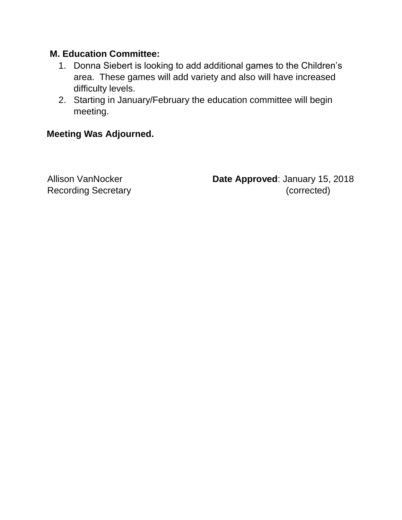#### **M. Education Committee:**

- 1. Donna Siebert is looking to add additional games to the Children's area. These games will add variety and also will have increased difficulty levels.
- 2. Starting in January/February the education committee will begin meeting.

#### **Meeting Was Adjourned.**

Allison VanNocker **Date Approved**: January 15, 2018 Recording Secretary **Exercise 2018** (corrected)